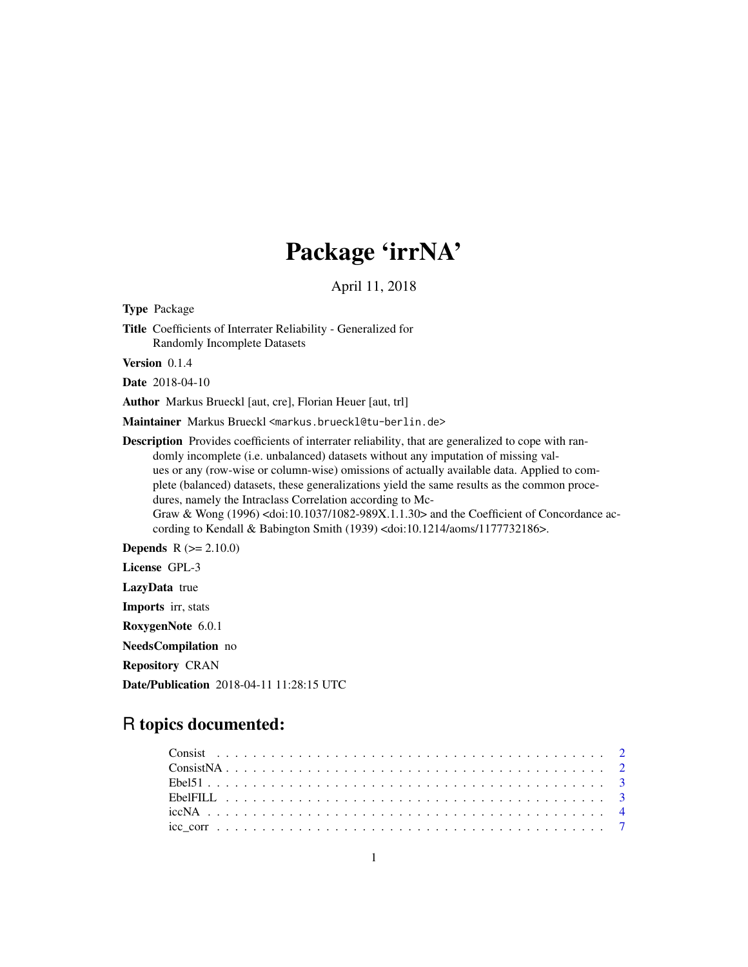## Package 'irrNA'

April 11, 2018

<span id="page-0-0"></span>Type Package Title Coefficients of Interrater Reliability - Generalized for Randomly Incomplete Datasets Version 0.1.4 Date 2018-04-10 Author Markus Brueckl [aut, cre], Florian Heuer [aut, trl] Maintainer Markus Brueckl <markus.brueckl@tu-berlin.de> Description Provides coefficients of interrater reliability, that are generalized to cope with randomly incomplete (i.e. unbalanced) datasets without any imputation of missing values or any (row-wise or column-wise) omissions of actually available data. Applied to complete (balanced) datasets, these generalizations yield the same results as the common procedures, namely the Intraclass Correlation according to Mc-Graw & Wong (1996) <doi:10.1037/1082-989X.1.1.30> and the Coefficient of Concordance according to Kendall & Babington Smith (1939) <doi:10.1214/aoms/1177732186>. **Depends**  $R (= 2.10.0)$ License GPL-3 LazyData true Imports irr, stats

RoxygenNote 6.0.1

NeedsCompilation no

Repository CRAN

Date/Publication 2018-04-11 11:28:15 UTC

### R topics documented: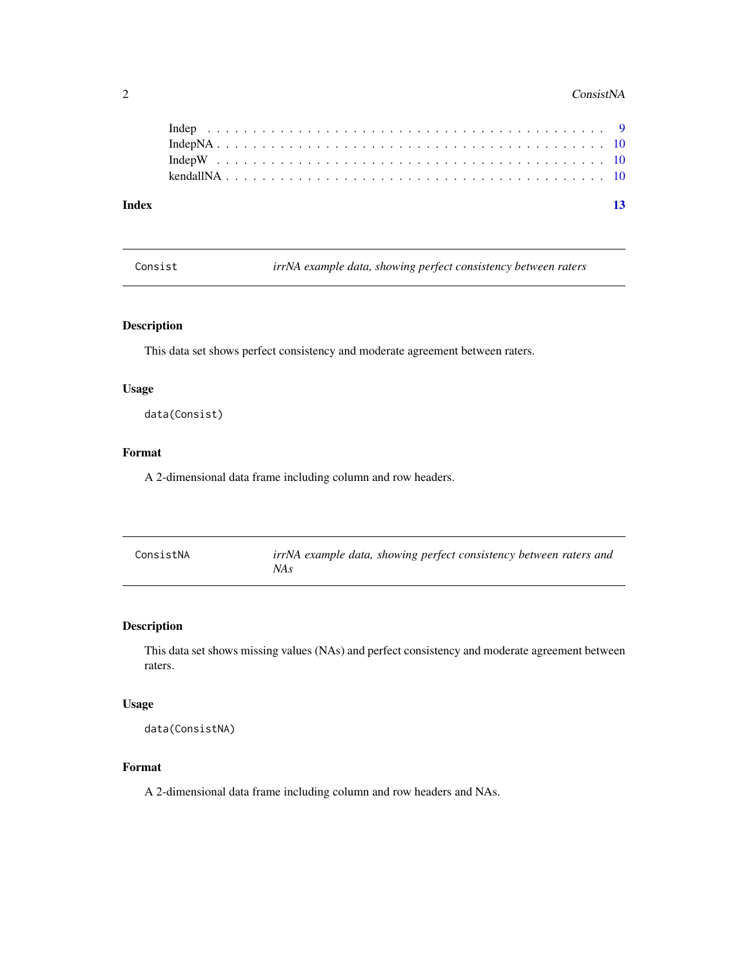#### <span id="page-1-0"></span>2 ConsistNA

| Index |  |  |  |  |  |  |  |  |  |  |  |  |  |  |  |  |  |  |  |  |  | $-13$ |
|-------|--|--|--|--|--|--|--|--|--|--|--|--|--|--|--|--|--|--|--|--|--|-------|
|       |  |  |  |  |  |  |  |  |  |  |  |  |  |  |  |  |  |  |  |  |  |       |
|       |  |  |  |  |  |  |  |  |  |  |  |  |  |  |  |  |  |  |  |  |  |       |
|       |  |  |  |  |  |  |  |  |  |  |  |  |  |  |  |  |  |  |  |  |  |       |

Consist *irrNA example data, showing perfect consistency between raters*

#### Description

This data set shows perfect consistency and moderate agreement between raters.

#### Usage

data(Consist)

#### Format

A 2-dimensional data frame including column and row headers.

| ConsistNA | irrNA example data, showing perfect consistency between raters and |
|-----------|--------------------------------------------------------------------|
|           | NA s                                                               |

#### Description

This data set shows missing values (NAs) and perfect consistency and moderate agreement between raters.

#### Usage

data(ConsistNA)

#### Format

A 2-dimensional data frame including column and row headers and NAs.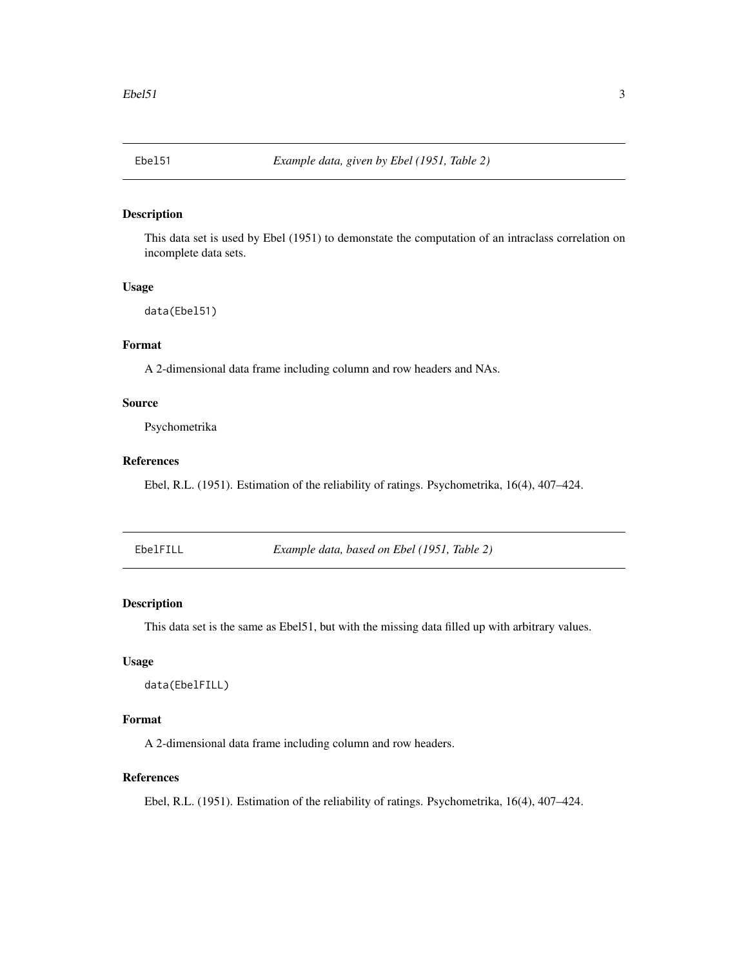<span id="page-2-0"></span>

#### Description

This data set is used by Ebel (1951) to demonstate the computation of an intraclass correlation on incomplete data sets.

#### Usage

```
data(Ebel51)
```
#### Format

A 2-dimensional data frame including column and row headers and NAs.

#### Source

Psychometrika

#### References

Ebel, R.L. (1951). Estimation of the reliability of ratings. Psychometrika, 16(4), 407–424.

EbelFILL *Example data, based on Ebel (1951, Table 2)*

#### **Description**

This data set is the same as Ebel51, but with the missing data filled up with arbitrary values.

#### Usage

```
data(EbelFILL)
```
#### Format

A 2-dimensional data frame including column and row headers.

#### References

Ebel, R.L. (1951). Estimation of the reliability of ratings. Psychometrika, 16(4), 407–424.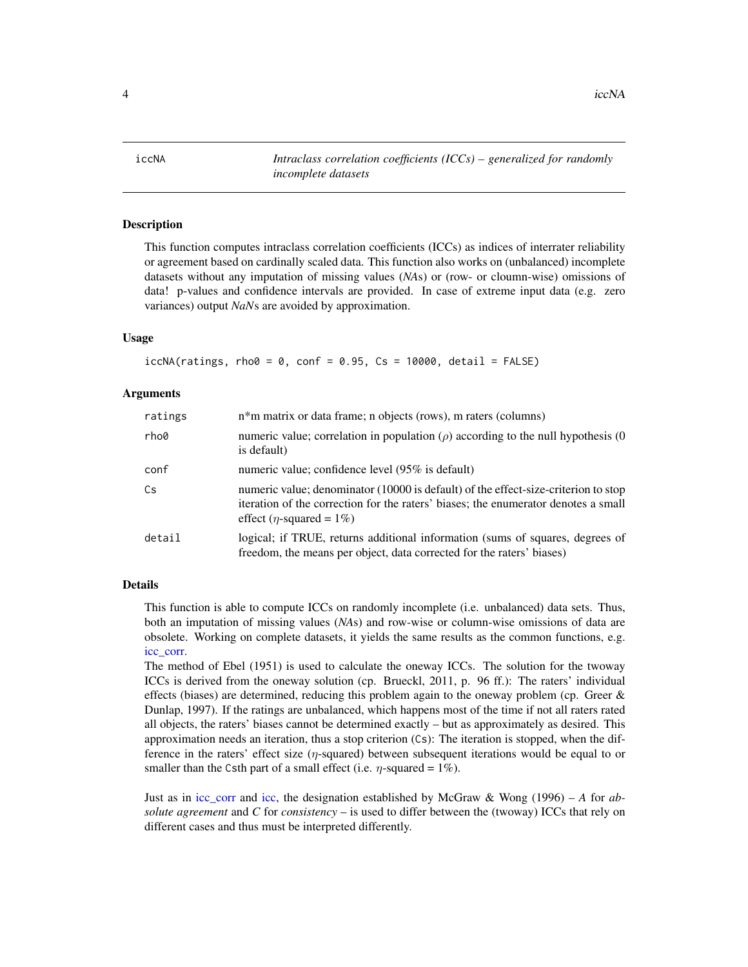<span id="page-3-0"></span>4 iccNA iccNA

<span id="page-3-1"></span>iccNA *Intraclass correlation coefficients (ICCs) – generalized for randomly incomplete datasets*

#### Description

This function computes intraclass correlation coefficients (ICCs) as indices of interrater reliability or agreement based on cardinally scaled data. This function also works on (unbalanced) incomplete datasets without any imputation of missing values (*NA*s) or (row- or cloumn-wise) omissions of data! p-values and confidence intervals are provided. In case of extreme input data (e.g. zero variances) output *NaN*s are avoided by approximation.

#### Usage

```
iccNA(ratings, rho@ = 0, conf = 0.95, Cs = 10000, detail = FALSE)
```
#### Arguments

| ratings | n <sup>*</sup> m matrix or data frame; n objects (rows), m raters (columns)                                                                                                                                      |
|---------|------------------------------------------------------------------------------------------------------------------------------------------------------------------------------------------------------------------|
| rho0    | numeric value; correlation in population ( $\rho$ ) according to the null hypothesis (0<br>is default)                                                                                                           |
| conf    | numeric value; confidence level (95% is default)                                                                                                                                                                 |
| Cs      | numeric value; denominator (10000 is default) of the effect-size-criterion to stop<br>iteration of the correction for the raters' biases; the enumerator denotes a small<br>effect ( <i>n</i> -squared = $1\%$ ) |
| detail  | logical; if TRUE, returns additional information (sums of squares, degrees of<br>freedom, the means per object, data corrected for the raters' biases)                                                           |

#### Details

This function is able to compute ICCs on randomly incomplete (i.e. unbalanced) data sets. Thus, both an imputation of missing values (*NA*s) and row-wise or column-wise omissions of data are obsolete. Working on complete datasets, it yields the same results as the common functions, e.g. [icc\\_corr.](#page-6-1)

The method of Ebel (1951) is used to calculate the oneway ICCs. The solution for the twoway ICCs is derived from the oneway solution (cp. Brueckl, 2011, p. 96 ff.): The raters' individual effects (biases) are determined, reducing this problem again to the oneway problem (cp. Greer  $\&$ Dunlap, 1997). If the ratings are unbalanced, which happens most of the time if not all raters rated all objects, the raters' biases cannot be determined exactly – but as approximately as desired. This approximation needs an iteration, thus a stop criterion (Cs): The iteration is stopped, when the difference in the raters' effect size  $(\eta$ -squared) between subsequent iterations would be equal to or smaller than the Csth part of a small effect (i.e.  $\eta$ -squared = 1%).

Just as in [icc\\_corr](#page-6-1) and [icc,](#page-0-0) the designation established by McGraw & Wong (1996) – *A* for *absolute agreement* and *C* for *consistency* – is used to differ between the (twoway) ICCs that rely on different cases and thus must be interpreted differently.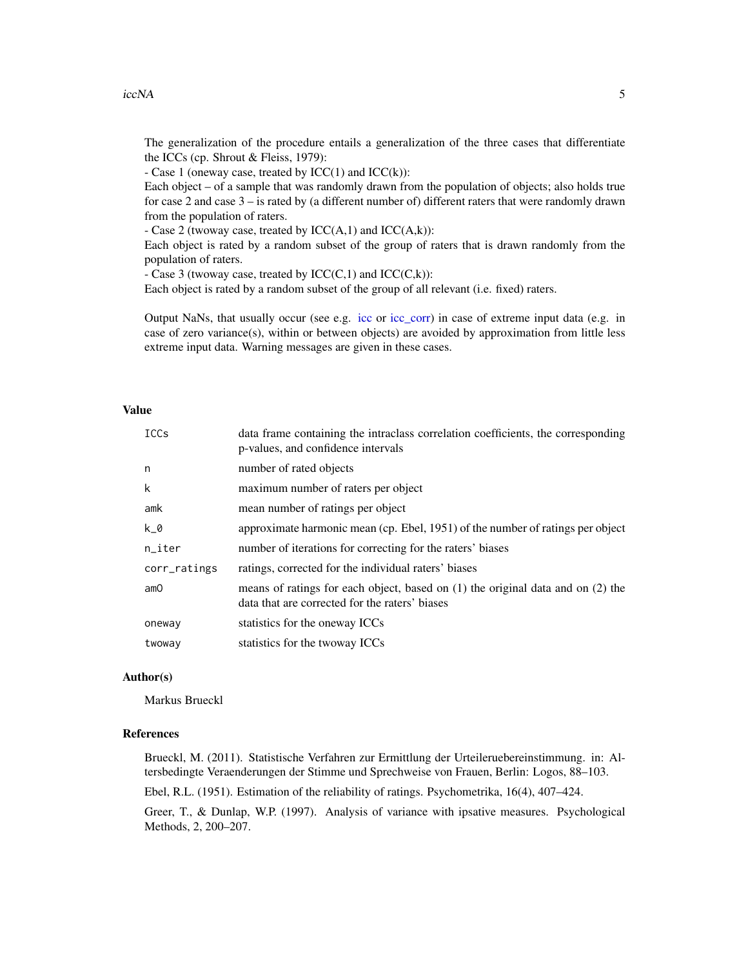The generalization of the procedure entails a generalization of the three cases that differentiate the ICCs (cp. Shrout & Fleiss, 1979):

- Case 1 (oneway case, treated by  $ICC(1)$  and  $ICC(k))$ :

Each object – of a sample that was randomly drawn from the population of objects; also holds true for case 2 and case 3 – is rated by (a different number of) different raters that were randomly drawn from the population of raters.

- Case 2 (twoway case, treated by  $ICC(A,1)$  and  $ICC(A,k))$ :

Each object is rated by a random subset of the group of raters that is drawn randomly from the population of raters.

- Case 3 (twoway case, treated by  $ICC(C,1)$  and  $ICC(C,k))$ :

Each object is rated by a random subset of the group of all relevant (i.e. fixed) raters.

Output NaNs, that usually occur (see e.g. [icc](#page-0-0) or [icc\\_corr\)](#page-6-1) in case of extreme input data (e.g. in case of zero variance(s), within or between objects) are avoided by approximation from little less extreme input data. Warning messages are given in these cases.

#### Value

| <b>ICCs</b>  | data frame containing the intraclass correlation coefficients, the corresponding<br>p-values, and confidence intervals                |
|--------------|---------------------------------------------------------------------------------------------------------------------------------------|
| n            | number of rated objects                                                                                                               |
| k            | maximum number of raters per object                                                                                                   |
| amk          | mean number of ratings per object                                                                                                     |
| k_0          | approximate harmonic mean (cp. Ebel, 1951) of the number of ratings per object                                                        |
| $n$ _iter    | number of iterations for correcting for the raters' biases                                                                            |
| corr_ratings | ratings, corrected for the individual raters' biases                                                                                  |
| amO          | means of ratings for each object, based on $(1)$ the original data and on $(2)$ the<br>data that are corrected for the raters' biases |
| oneway       | statistics for the oneway ICCs                                                                                                        |
| twoway       | statistics for the twoway ICCs                                                                                                        |

#### Author(s)

Markus Brueckl

#### References

Brueckl, M. (2011). Statistische Verfahren zur Ermittlung der Urteileruebereinstimmung. in: Altersbedingte Veraenderungen der Stimme und Sprechweise von Frauen, Berlin: Logos, 88–103.

Ebel, R.L. (1951). Estimation of the reliability of ratings. Psychometrika, 16(4), 407–424.

Greer, T., & Dunlap, W.P. (1997). Analysis of variance with ipsative measures. Psychological Methods, 2, 200–207.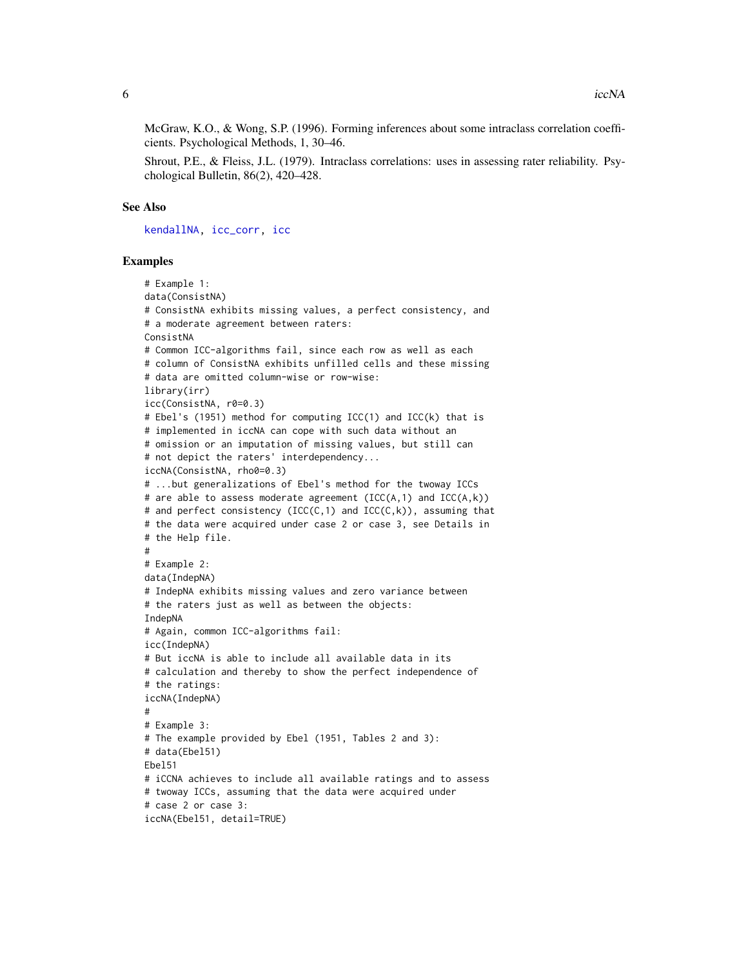<span id="page-5-0"></span>McGraw, K.O., & Wong, S.P. (1996). Forming inferences about some intraclass correlation coefficients. Psychological Methods, 1, 30–46.

Shrout, P.E., & Fleiss, J.L. (1979). Intraclass correlations: uses in assessing rater reliability. Psychological Bulletin, 86(2), 420–428.

#### See Also

[kendallNA,](#page-9-1) [icc\\_corr,](#page-6-1) [icc](#page-0-0)

#### Examples

```
# Example 1:
data(ConsistNA)
# ConsistNA exhibits missing values, a perfect consistency, and
# a moderate agreement between raters:
ConsistNA
# Common ICC-algorithms fail, since each row as well as each
# column of ConsistNA exhibits unfilled cells and these missing
# data are omitted column-wise or row-wise:
library(irr)
icc(ConsistNA, r0=0.3)
# Ebel's (1951) method for computing ICC(1) and ICC(k) that is
# implemented in iccNA can cope with such data without an
# omission or an imputation of missing values, but still can
# not depict the raters' interdependency...
iccNA(ConsistNA, rho0=0.3)
# ...but generalizations of Ebel's method for the twoway ICCs
# are able to assess moderate agreement (ICC(A,1) and ICC(A,k))
# and perfect consistency (ICC(C,1) and ICC(C,k)), assuming that
# the data were acquired under case 2 or case 3, see Details in
# the Help file.
#
# Example 2:
data(IndepNA)
# IndepNA exhibits missing values and zero variance between
# the raters just as well as between the objects:
IndepNA
# Again, common ICC-algorithms fail:
icc(IndepNA)
# But iccNA is able to include all available data in its
# calculation and thereby to show the perfect independence of
# the ratings:
iccNA(IndepNA)
#
# Example 3:
# The example provided by Ebel (1951, Tables 2 and 3):
# data(Ebel51)
Ebel51
# iCCNA achieves to include all available ratings and to assess
# twoway ICCs, assuming that the data were acquired under
# case 2 or case 3:
iccNA(Ebel51, detail=TRUE)
```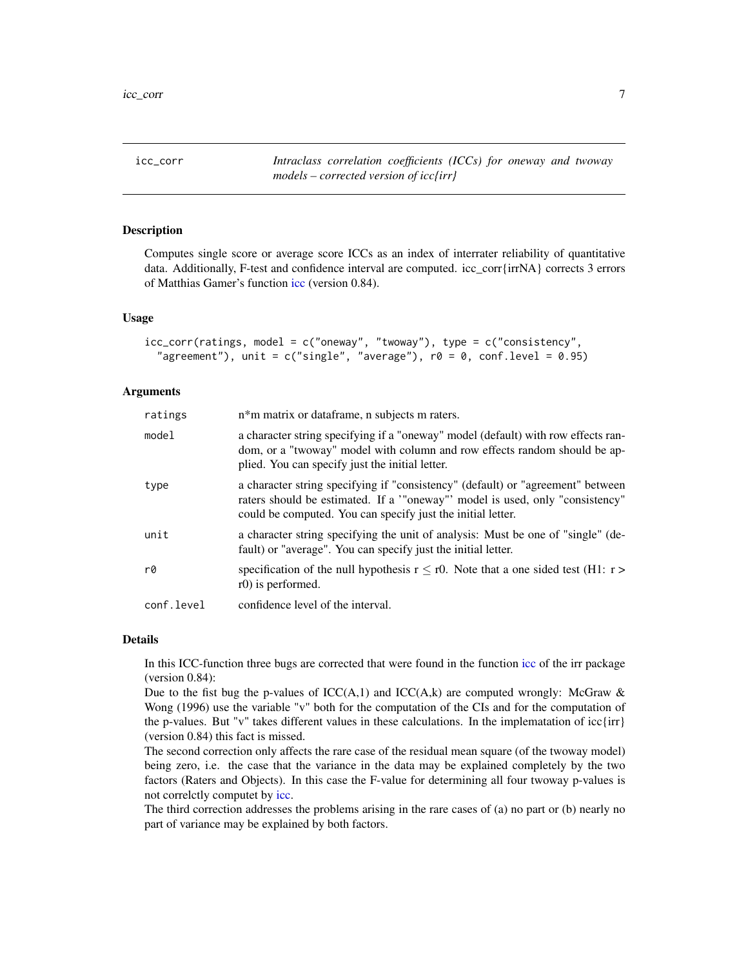<span id="page-6-1"></span><span id="page-6-0"></span>icc\_corr *Intraclass correlation coefficients (ICCs) for oneway and twoway models – corrected version of icc{irr}*

#### Description

Computes single score or average score ICCs as an index of interrater reliability of quantitative data. Additionally, F-test and confidence interval are computed. icc\_corr{irrNA} corrects 3 errors of Matthias Gamer's function [icc](#page-0-0) (version 0.84).

#### Usage

```
icc_corr(ratings, model = c("oneway", "twoway"), type = c("consistency",
 "agreement"), unit = c("single", "average"), r0 = 0, conf. level = 0.95)
```
#### Arguments

| ratings    | n*m matrix or dataframe, n subjects m raters.                                                                                                                                                                                 |
|------------|-------------------------------------------------------------------------------------------------------------------------------------------------------------------------------------------------------------------------------|
| model      | a character string specifying if a "oneway" model (default) with row effects ran-<br>dom, or a "twoway" model with column and row effects random should be ap-<br>plied. You can specify just the initial letter.             |
| type       | a character string specifying if "consistency" (default) or "agreement" between<br>raters should be estimated. If a "oneway" model is used, only "consistency"<br>could be computed. You can specify just the initial letter. |
| unit       | a character string specifying the unit of analysis: Must be one of "single" (de-<br>fault) or "average". You can specify just the initial letter.                                                                             |
| r0         | specification of the null hypothesis $r \le r0$ . Note that a one sided test (H1: $r >$<br>r0) is performed.                                                                                                                  |
| conf.level | confidence level of the interval.                                                                                                                                                                                             |

#### Details

In this ICC-function three bugs are corrected that were found in the function [icc](#page-0-0) of the irr package (version 0.84):

Due to the fist bug the p-values of  $ICC(A,1)$  and  $ICC(A,k)$  are computed wrongly: McGraw & Wong (1996) use the variable "v" both for the computation of the CIs and for the computation of the p-values. But "v" takes different values in these calculations. In the implematation of icc $\{irr\}$ (version 0.84) this fact is missed.

The second correction only affects the rare case of the residual mean square (of the twoway model) being zero, i.e. the case that the variance in the data may be explained completely by the two factors (Raters and Objects). In this case the F-value for determining all four twoway p-values is not correlctly computet by [icc.](#page-0-0)

The third correction addresses the problems arising in the rare cases of (a) no part or (b) nearly no part of variance may be explained by both factors.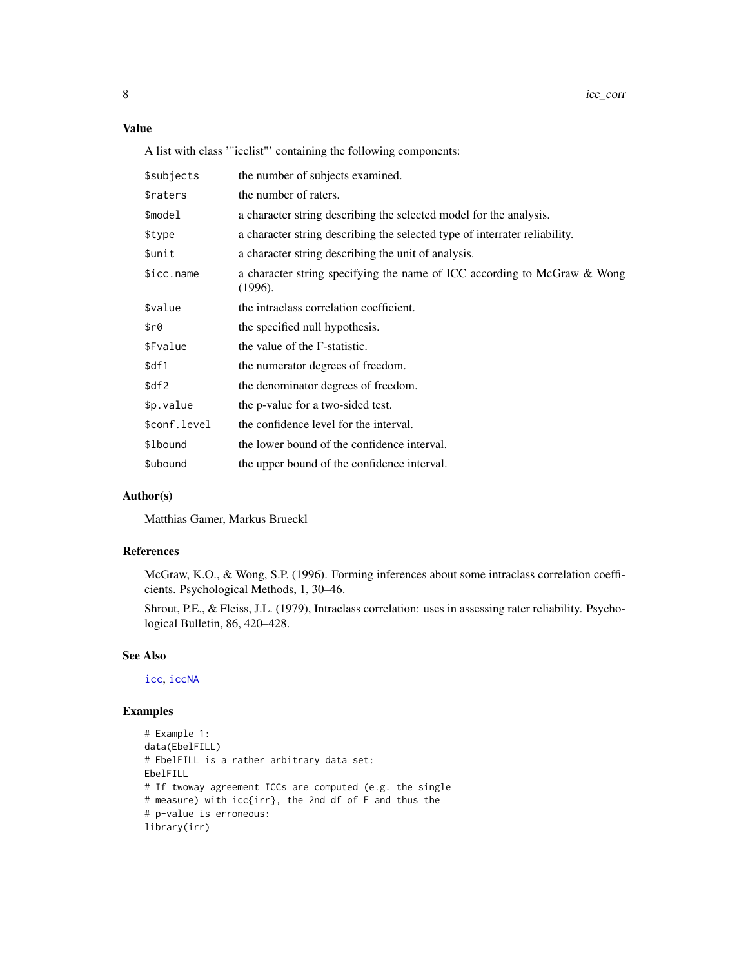#### <span id="page-7-0"></span>Value

A list with class '"icclist"' containing the following components:

| the number of subjects examined.                                                    |
|-------------------------------------------------------------------------------------|
| the number of raters.                                                               |
| a character string describing the selected model for the analysis.                  |
| a character string describing the selected type of interrater reliability.          |
| a character string describing the unit of analysis.                                 |
| a character string specifying the name of ICC according to McGraw & Wong<br>(1996). |
| the intraclass correlation coefficient.                                             |
| the specified null hypothesis.                                                      |
| the value of the F-statistic.                                                       |
| the numerator degrees of freedom.                                                   |
| the denominator degrees of freedom.                                                 |
| the p-value for a two-sided test.                                                   |
| the confidence level for the interval.                                              |
| the lower bound of the confidence interval.                                         |
| the upper bound of the confidence interval.                                         |
|                                                                                     |

#### Author(s)

Matthias Gamer, Markus Brueckl

#### References

McGraw, K.O., & Wong, S.P. (1996). Forming inferences about some intraclass correlation coefficients. Psychological Methods, 1, 30–46.

Shrout, P.E., & Fleiss, J.L. (1979), Intraclass correlation: uses in assessing rater reliability. Psychological Bulletin, 86, 420–428.

#### See Also

[icc](#page-0-0), [iccNA](#page-3-1)

#### Examples

```
# Example 1:
data(EbelFILL)
# EbelFILL is a rather arbitrary data set:
EbelFILL
# If twoway agreement ICCs are computed (e.g. the single
# measure) with icc{irr}, the 2nd df of F and thus the
# p-value is erroneous:
library(irr)
```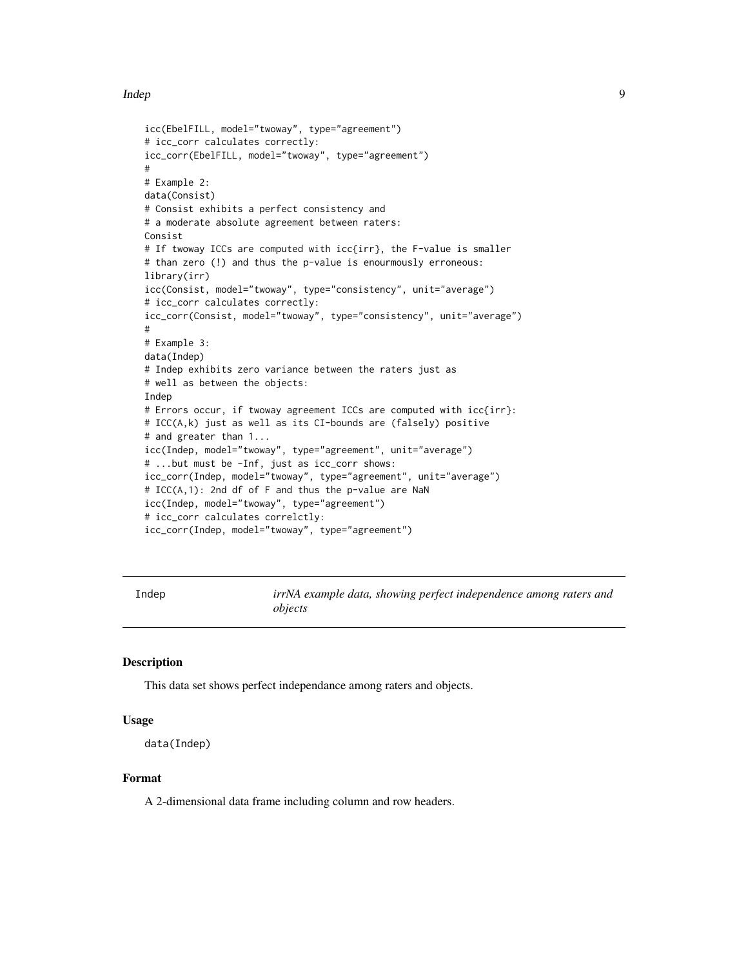#### <span id="page-8-0"></span>Indep 9

```
icc(EbelFILL, model="twoway", type="agreement")
# icc_corr calculates correctly:
icc_corr(EbelFILL, model="twoway", type="agreement")
#
# Example 2:
data(Consist)
# Consist exhibits a perfect consistency and
# a moderate absolute agreement between raters:
Consist
# If twoway ICCs are computed with icc{irr}, the F-value is smaller
# than zero (!) and thus the p-value is enourmously erroneous:
library(irr)
icc(Consist, model="twoway", type="consistency", unit="average")
# icc_corr calculates correctly:
icc_corr(Consist, model="twoway", type="consistency", unit="average")
#
# Example 3:
data(Indep)
# Indep exhibits zero variance between the raters just as
# well as between the objects:
Indep
# Errors occur, if twoway agreement ICCs are computed with icc{irr}:
# ICC(A,k) just as well as its CI-bounds are (falsely) positive
# and greater than 1...
icc(Indep, model="twoway", type="agreement", unit="average")
# ...but must be -Inf, just as icc_corr shows:
icc_corr(Indep, model="twoway", type="agreement", unit="average")
# ICC(A,1): 2nd df of F and thus the p-value are NaN
icc(Indep, model="twoway", type="agreement")
# icc_corr calculates correlctly:
icc_corr(Indep, model="twoway", type="agreement")
```
Indep *irrNA example data, showing perfect independence among raters and objects*

#### Description

This data set shows perfect independance among raters and objects.

#### Usage

```
data(Indep)
```
#### Format

A 2-dimensional data frame including column and row headers.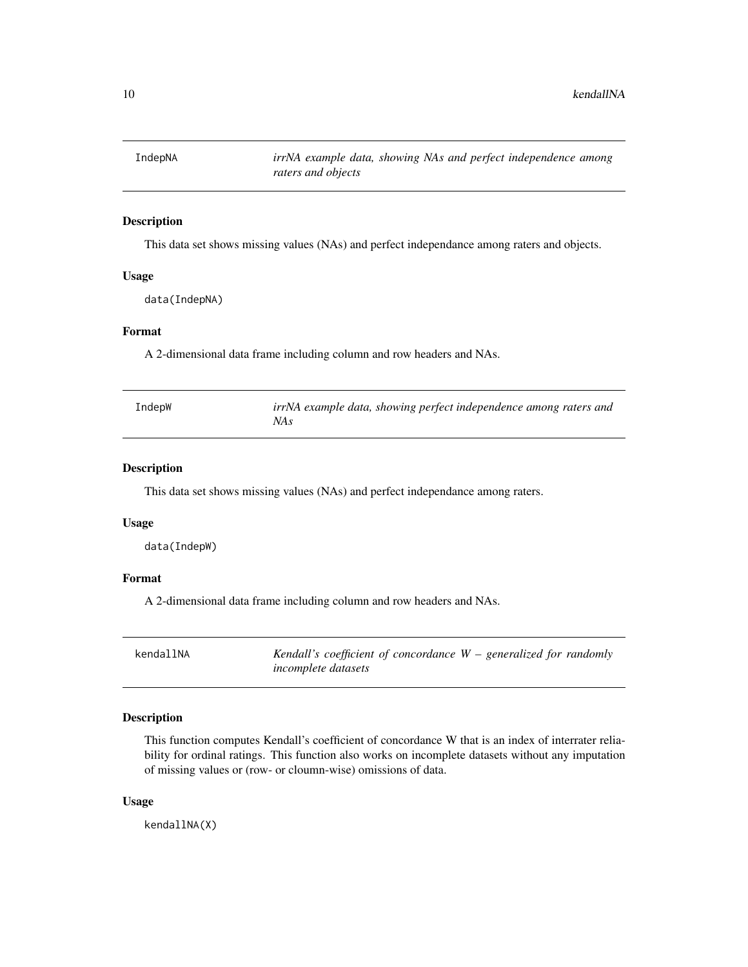<span id="page-9-0"></span>

#### Description

This data set shows missing values (NAs) and perfect independance among raters and objects.

#### Usage

data(IndepNA)

#### Format

A 2-dimensional data frame including column and row headers and NAs.

| IndepW | irrNA example data, showing perfect independence among raters and |
|--------|-------------------------------------------------------------------|
|        | NA s                                                              |

#### Description

This data set shows missing values (NAs) and perfect independance among raters.

#### Usage

data(IndepW)

#### Format

A 2-dimensional data frame including column and row headers and NAs.

<span id="page-9-1"></span>

| kendallNA | Kendall's coefficient of concordance $W$ – generalized for randomly |  |
|-----------|---------------------------------------------------------------------|--|
|           | <i>incomplete datasets</i>                                          |  |

#### Description

This function computes Kendall's coefficient of concordance W that is an index of interrater reliability for ordinal ratings. This function also works on incomplete datasets without any imputation of missing values or (row- or cloumn-wise) omissions of data.

#### Usage

kendallNA(X)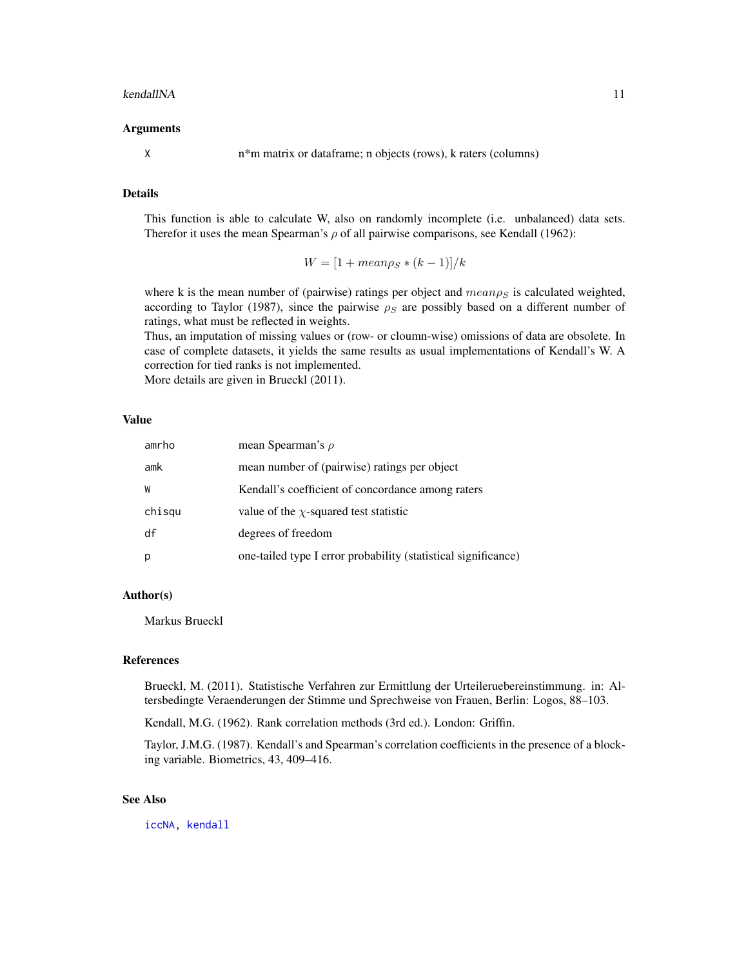#### <span id="page-10-0"></span>kendallNA 11

#### Arguments

X n\*m matrix or dataframe; n objects (rows), k raters (columns)

#### Details

This function is able to calculate W, also on randomly incomplete (i.e. unbalanced) data sets. Therefor it uses the mean Spearman's  $\rho$  of all pairwise comparisons, see Kendall (1962):

$$
W = [1 + mean\rho_S * (k - 1)]/k
$$

where k is the mean number of (pairwise) ratings per object and  $mean \rho_S$  is calculated weighted, according to Taylor (1987), since the pairwise  $\rho_S$  are possibly based on a different number of ratings, what must be reflected in weights.

Thus, an imputation of missing values or (row- or cloumn-wise) omissions of data are obsolete. In case of complete datasets, it yields the same results as usual implementations of Kendall's W. A correction for tied ranks is not implemented.

More details are given in Brueckl (2011).

#### Value

| amrho  | mean Spearman's $\rho$                                         |
|--------|----------------------------------------------------------------|
| amk    | mean number of (pairwise) ratings per object                   |
| W      | Kendall's coefficient of concordance among raters              |
| chisqu | value of the $\chi$ -squared test statistic                    |
| df     | degrees of freedom                                             |
| p      | one-tailed type I error probability (statistical significance) |

#### Author(s)

Markus Brueckl

#### References

Brueckl, M. (2011). Statistische Verfahren zur Ermittlung der Urteileruebereinstimmung. in: Altersbedingte Veraenderungen der Stimme und Sprechweise von Frauen, Berlin: Logos, 88–103.

Kendall, M.G. (1962). Rank correlation methods (3rd ed.). London: Griffin.

Taylor, J.M.G. (1987). Kendall's and Spearman's correlation coefficients in the presence of a blocking variable. Biometrics, 43, 409–416.

#### See Also

[iccNA,](#page-3-1) [kendall](#page-0-0)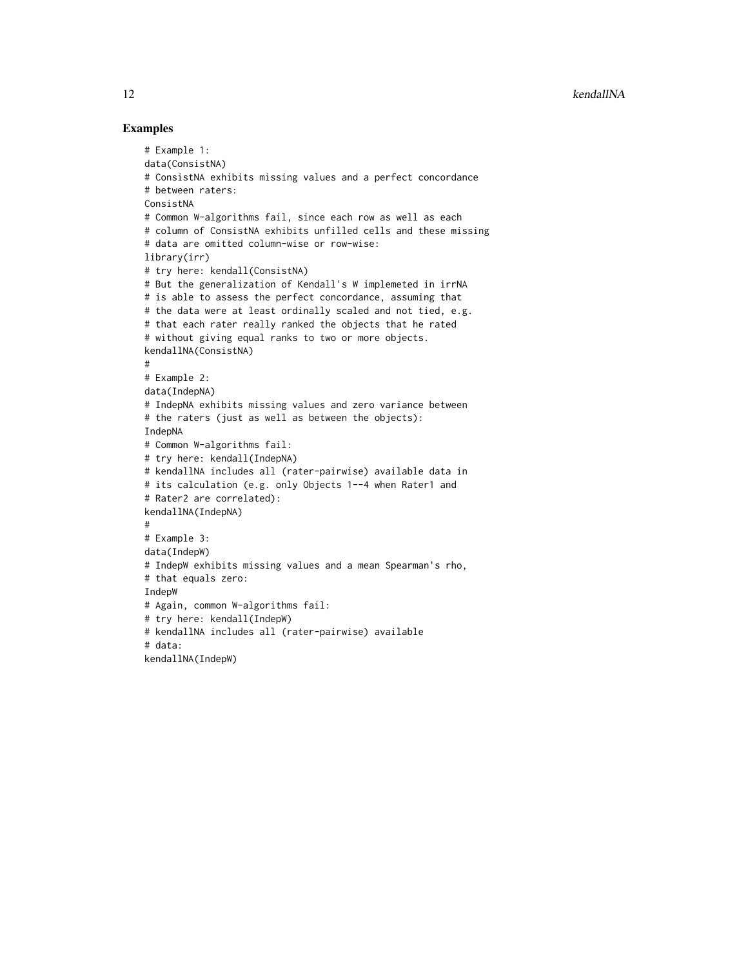#### Examples

```
# Example 1:
data(ConsistNA)
# ConsistNA exhibits missing values and a perfect concordance
# between raters:
ConsistNA
# Common W-algorithms fail, since each row as well as each
# column of ConsistNA exhibits unfilled cells and these missing
# data are omitted column-wise or row-wise:
library(irr)
# try here: kendall(ConsistNA)
# But the generalization of Kendall's W implemeted in irrNA
# is able to assess the perfect concordance, assuming that
# the data were at least ordinally scaled and not tied, e.g.
# that each rater really ranked the objects that he rated
# without giving equal ranks to two or more objects.
kendallNA(ConsistNA)
#
# Example 2:
data(IndepNA)
# IndepNA exhibits missing values and zero variance between
# the raters (just as well as between the objects):
IndepNA
# Common W-algorithms fail:
# try here: kendall(IndepNA)
# kendallNA includes all (rater-pairwise) available data in
# its calculation (e.g. only Objects 1--4 when Rater1 and
# Rater2 are correlated):
kendallNA(IndepNA)
#
# Example 3:
data(IndepW)
# IndepW exhibits missing values and a mean Spearman's rho,
# that equals zero:
IndepW
# Again, common W-algorithms fail:
# try here: kendall(IndepW)
# kendallNA includes all (rater-pairwise) available
# data:
kendallNA(IndepW)
```